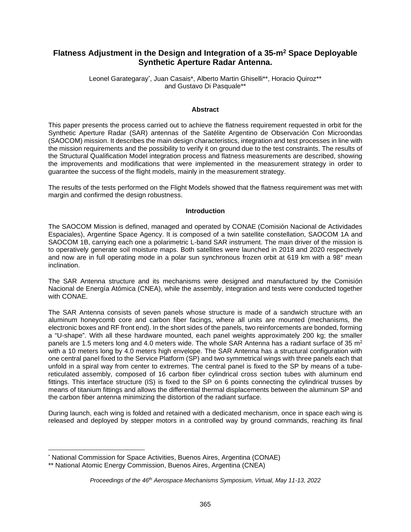# **Flatness Adjustment in the Design and Integration of a 35-m<sup>2</sup> Space Deployable Synthetic Aperture Radar Antenna.**

Leonel Garategaray\*[,](#page-0-0) Juan Casais\*, Alberto Martin Ghiselli\*\*, Horacio Quiroz\*\* and Gustavo Di Pasquale\*\*

### **Abstract**

This paper presents the process carried out to achieve the flatness requirement requested in orbit for the Synthetic Aperture Radar (SAR) antennas of the Satélite Argentino de Observación Con Microondas (SAOCOM) mission. It describes the main design characteristics, integration and test processes in line with the mission requirements and the possibility to verify it on ground due to the test constraints. The results of the Structural Qualification Model integration process and flatness measurements are described, showing the improvements and modifications that were implemented in the measurement strategy in order to guarantee the success of the flight models, mainly in the measurement strategy.

The results of the tests performed on the Flight Models showed that the flatness requirement was met with margin and confirmed the design robustness.

#### **Introduction**

The SAOCOM Mission is defined, managed and operated by CONAE (Comisión Nacional de Actividades Espaciales), Argentine Space Agency. It is composed of a twin satellite constellation, SAOCOM 1A and SAOCOM 1B, carrying each one a polarimetric L-band SAR instrument. The main driver of the mission is to operatively generate soil moisture maps. Both satellites were launched in 2018 and 2020 respectively and now are in full operating mode in a polar sun synchronous frozen orbit at 619 km with a 98° mean inclination.

The SAR Antenna structure and its mechanisms were designed and manufactured by the Comisión Nacional de Energía Atómica (CNEA), while the assembly, integration and tests were conducted together with CONAE.

The SAR Antenna consists of seven panels whose structure is made of a sandwich structure with an aluminum honeycomb core and carbon fiber facings, where all units are mounted (mechanisms, the electronic boxes and RF front end). In the short sides of the panels, two reinforcements are bonded, forming a "U-shape". With all these hardware mounted, each panel weights approximately 200 kg; the smaller panels are 1.5 meters long and 4.0 meters wide. The whole SAR Antenna has a radiant surface of 35 m<sup>2</sup> with a 10 meters long by 4.0 meters high envelope. The SAR Antenna has a structural configuration with one central panel fixed to the Service Platform (SP) and two symmetrical wings with three panels each that unfold in a spiral way from center to extremes. The central panel is fixed to the SP by means of a tubereticulated assembly, composed of 16 carbon fiber cylindrical cross section tubes with aluminum end fittings. This interface structure (IS) is fixed to the SP on 6 points connecting the cylindrical trusses by means of titanium fittings and allows the differential thermal displacements between the aluminum SP and the carbon fiber antenna minimizing the distortion of the radiant surface.

During launch, each wing is folded and retained with a dedicated mechanism, once in space each wing is released and deployed by stepper motors in a controlled way by ground commands, reaching its final

<span id="page-0-0"></span><sup>\*</sup> National Commission for Space Activities, Buenos Aires, Argentina (CONAE)

<sup>\*\*</sup> National Atomic Energy Commission, Buenos Aires, Argentina (CNEA)

*Proceedings of the 46th Aerospace Mechanisms Symposium, Virtual, May 11-13, 2022*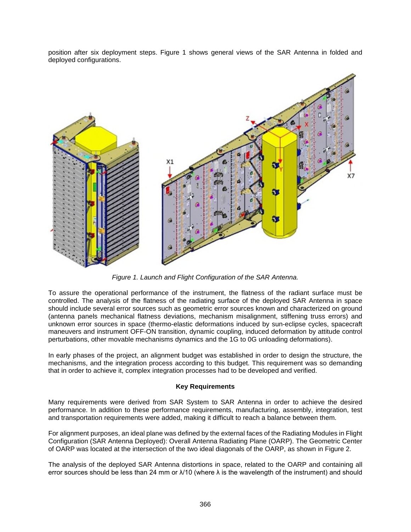

position after six deployment steps. Figure 1 shows general views of the SAR Antenna in folded and deployed configurations.

*Figure 1. Launch and Flight Configuration of the SAR Antenna.* 

To assure the operational performance of the instrument, the flatness of the radiant surface must be controlled. The analysis of the flatness of the radiating surface of the deployed SAR Antenna in space should include several error sources such as geometric error sources known and characterized on ground (antenna panels mechanical flatness deviations, mechanism misalignment, stiffening truss errors) and unknown error sources in space (thermo-elastic deformations induced by sun-eclipse cycles, spacecraft maneuvers and instrument OFF-ON transition, dynamic coupling, induced deformation by attitude control perturbations, other movable mechanisms dynamics and the 1G to 0G unloading deformations).

In early phases of the project, an alignment budget was established in order to design the structure, the mechanisms, and the integration process according to this budget. This requirement was so demanding that in order to achieve it, complex integration processes had to be developed and verified.

### **Key Requirements**

Many requirements were derived from SAR System to SAR Antenna in order to achieve the desired performance. In addition to these performance requirements, manufacturing, assembly, integration, test and transportation requirements were added, making it difficult to reach a balance between them.

For alignment purposes, an ideal plane was defined by the external faces of the Radiating Modules in Flight Configuration (SAR Antenna Deployed): Overall Antenna Radiating Plane (OARP). The Geometric Center of OARP was located at the intersection of the two ideal diagonals of the OARP, as shown in Figure 2.

The analysis of the deployed SAR Antenna distortions in space, related to the OARP and containing all error sources should be less than 24 mm or  $\lambda/10$  (where  $\lambda$  is the wavelength of the instrument) and should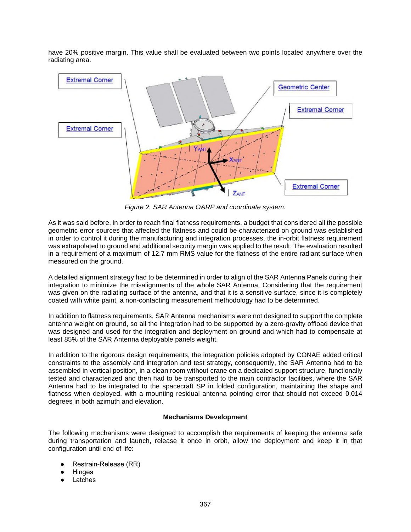have 20% positive margin. This value shall be evaluated between two points located anywhere over the radiating area.



*Figure 2. SAR Antenna OARP and coordinate system.* 

As it was said before, in order to reach final flatness requirements, a budget that considered all the possible geometric error sources that affected the flatness and could be characterized on ground was established in order to control it during the manufacturing and integration processes, the in-orbit flatness requirement was extrapolated to ground and additional security margin was applied to the result. The evaluation resulted in a requirement of a maximum of 12.7 mm RMS value for the flatness of the entire radiant surface when measured on the ground.

A detailed alignment strategy had to be determined in order to align of the SAR Antenna Panels during their integration to minimize the misalignments of the whole SAR Antenna. Considering that the requirement was given on the radiating surface of the antenna, and that it is a sensitive surface, since it is completely coated with white paint, a non-contacting measurement methodology had to be determined.

In addition to flatness requirements, SAR Antenna mechanisms were not designed to support the complete antenna weight on ground, so all the integration had to be supported by a zero-gravity offload device that was designed and used for the integration and deployment on ground and which had to compensate at least 85% of the SAR Antenna deployable panels weight.

In addition to the rigorous design requirements, the integration policies adopted by CONAE added critical constraints to the assembly and integration and test strategy, consequently, the SAR Antenna had to be assembled in vertical position, in a clean room without crane on a dedicated support structure, functionally tested and characterized and then had to be transported to the main contractor facilities, where the SAR Antenna had to be integrated to the spacecraft SP in folded configuration, maintaining the shape and flatness when deployed, with a mounting residual antenna pointing error that should not exceed 0.014 degrees in both azimuth and elevation.

# **Mechanisms Development**

The following mechanisms were designed to accomplish the requirements of keeping the antenna safe during transportation and launch, release it once in orbit, allow the deployment and keep it in that configuration until end of life:

- Restrain-Release (RR)
- **Hinges**
- Latches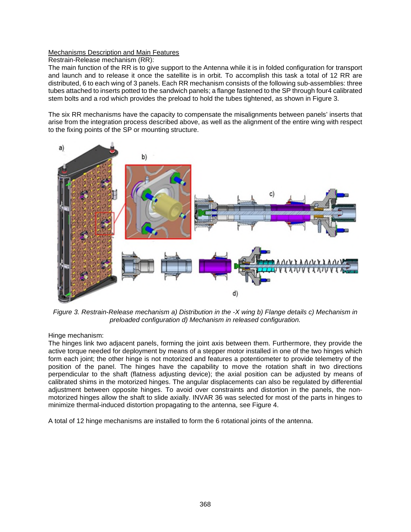### Mechanisms Description and Main Features

Restrain-Release mechanism (RR):

The main function of the RR is to give support to the Antenna while it is in folded configuration for transport and launch and to release it once the satellite is in orbit. To accomplish this task a total of 12 RR are distributed, 6 to each wing of 3 panels. Each RR mechanism consists of the following sub-assemblies: three tubes attached to inserts potted to the sandwich panels; a flange fastened to the SP through four4 calibrated stem bolts and a rod which provides the preload to hold the tubes tightened, as shown in Figure 3.

The six RR mechanisms have the capacity to compensate the misalignments between panels' inserts that arise from the integration process described above, as well as the alignment of the entire wing with respect to the fixing points of the SP or mounting structure.



*Figure 3. Restrain-Release mechanism a) Distribution in the -X wing b) Flange details c) Mechanism in preloaded configuration d) Mechanism in released configuration.* 

Hinge mechanism:

The hinges link two adjacent panels, forming the joint axis between them. Furthermore, they provide the active torque needed for deployment by means of a stepper motor installed in one of the two hinges which form each joint; the other hinge is not motorized and features a potentiometer to provide telemetry of the position of the panel. The hinges have the capability to move the rotation shaft in two directions perpendicular to the shaft (flatness adjusting device); the axial position can be adjusted by means of calibrated shims in the motorized hinges. The angular displacements can also be regulated by differential adjustment between opposite hinges. To avoid over constraints and distortion in the panels, the nonmotorized hinges allow the shaft to slide axially. INVAR 36 was selected for most of the parts in hinges to minimize thermal-induced distortion propagating to the antenna, see Figure 4.

A total of 12 hinge mechanisms are installed to form the 6 rotational joints of the antenna.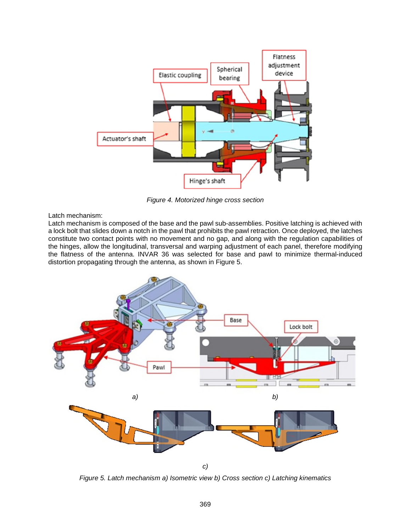

*Figure 4. Motorized hinge cross section* 

Latch mechanism:

Latch mechanism is composed of the base and the pawl sub-assemblies. Positive latching is achieved with a lock bolt that slides down a notch in the pawl that prohibits the pawl retraction. Once deployed, the latches constitute two contact points with no movement and no gap, and along with the regulation capabilities of the hinges, allow the longitudinal, transversal and warping adjustment of each panel, therefore modifying the flatness of the antenna. INVAR 36 was selected for base and pawl to minimize thermal-induced distortion propagating through the antenna, as shown in Figure 5.



*c)* 

*Figure 5. Latch mechanism a) Isometric view b) Cross section c) Latching kinematics*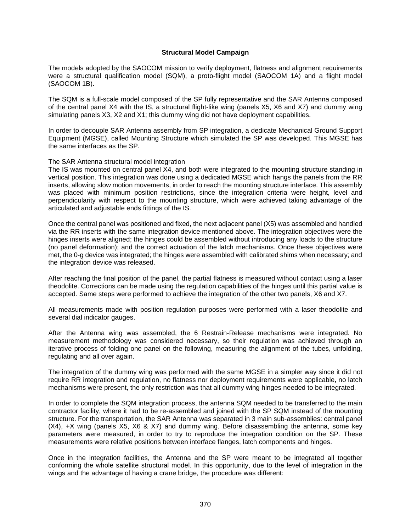### **Structural Model Campaign**

The models adopted by the SAOCOM mission to verify deployment, flatness and alignment requirements were a structural qualification model (SQM), a proto-flight model (SAOCOM 1A) and a flight model (SAOCOM 1B).

The SQM is a full-scale model composed of the SP fully representative and the SAR Antenna composed of the central panel X4 with the IS, a structural flight-like wing (panels X5, X6 and X7) and dummy wing simulating panels X3, X2 and X1; this dummy wing did not have deployment capabilities.

In order to decouple SAR Antenna assembly from SP integration, a dedicate Mechanical Ground Support Equipment (MGSE), called Mounting Structure which simulated the SP was developed. This MGSE has the same interfaces as the SP.

#### The SAR Antenna structural model integration

The IS was mounted on central panel X4, and both were integrated to the mounting structure standing in vertical position. This integration was done using a dedicated MGSE which hangs the panels from the RR inserts, allowing slow motion movements, in order to reach the mounting structure interface. This assembly was placed with minimum position restrictions, since the integration criteria were height, level and perpendicularity with respect to the mounting structure, which were achieved taking advantage of the articulated and adjustable ends fittings of the IS.

Once the central panel was positioned and fixed, the next adjacent panel (X5) was assembled and handled via the RR inserts with the same integration device mentioned above. The integration objectives were the hinges inserts were aligned; the hinges could be assembled without introducing any loads to the structure (no panel deformation); and the correct actuation of the latch mechanisms. Once these objectives were met, the 0-g device was integrated; the hinges were assembled with calibrated shims when necessary; and the integration device was released.

After reaching the final position of the panel, the partial flatness is measured without contact using a laser theodolite. Corrections can be made using the regulation capabilities of the hinges until this partial value is accepted. Same steps were performed to achieve the integration of the other two panels, X6 and X7.

All measurements made with position regulation purposes were performed with a laser theodolite and several dial indicator gauges.

After the Antenna wing was assembled, the 6 Restrain-Release mechanisms were integrated. No measurement methodology was considered necessary, so their regulation was achieved through an iterative process of folding one panel on the following, measuring the alignment of the tubes, unfolding, regulating and all over again.

The integration of the dummy wing was performed with the same MGSE in a simpler way since it did not require RR integration and regulation, no flatness nor deployment requirements were applicable, no latch mechanisms were present, the only restriction was that all dummy wing hinges needed to be integrated.

In order to complete the SQM integration process, the antenna SQM needed to be transferred to the main contractor facility, where it had to be re-assembled and joined with the SP SQM instead of the mounting structure. For the transportation, the SAR Antenna was separated in 3 main sub-assemblies: central panel (X4), +X wing (panels X5, X6 & X7) and dummy wing. Before disassembling the antenna, some key parameters were measured, in order to try to reproduce the integration condition on the SP. These measurements were relative positions between interface flanges, latch components and hinges.

Once in the integration facilities, the Antenna and the SP were meant to be integrated all together conforming the whole satellite structural model. In this opportunity, due to the level of integration in the wings and the advantage of having a crane bridge, the procedure was different: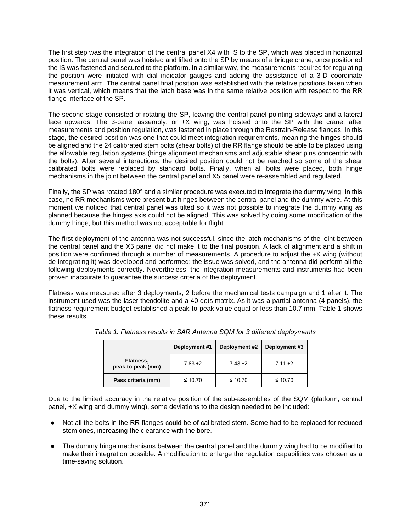The first step was the integration of the central panel X4 with IS to the SP, which was placed in horizontal position. The central panel was hoisted and lifted onto the SP by means of a bridge crane; once positioned the IS was fastened and secured to the platform. In a similar way, the measurements required for regulating the position were initiated with dial indicator gauges and adding the assistance of a 3-D coordinate measurement arm. The central panel final position was established with the relative positions taken when it was vertical, which means that the latch base was in the same relative position with respect to the RR flange interface of the SP.

The second stage consisted of rotating the SP, leaving the central panel pointing sideways and a lateral face upwards. The 3-panel assembly, or +X wing, was hoisted onto the SP with the crane, after measurements and position regulation, was fastened in place through the Restrain-Release flanges. In this stage, the desired position was one that could meet integration requirements, meaning the hinges should be aligned and the 24 calibrated stem bolts (shear bolts) of the RR flange should be able to be placed using the allowable regulation systems (hinge alignment mechanisms and adjustable shear pins concentric with the bolts). After several interactions, the desired position could not be reached so some of the shear calibrated bolts were replaced by standard bolts. Finally, when all bolts were placed, both hinge mechanisms in the joint between the central panel and X5 panel were re-assembled and regulated.

Finally, the SP was rotated 180° and a similar procedure was executed to integrate the dummy wing. In this case, no RR mechanisms were present but hinges between the central panel and the dummy were. At this moment we noticed that central panel was tilted so it was not possible to integrate the dummy wing as planned because the hinges axis could not be aligned. This was solved by doing some modification of the dummy hinge, but this method was not acceptable for flight.

The first deployment of the antenna was not successful, since the latch mechanisms of the joint between the central panel and the X5 panel did not make it to the final position. A lack of alignment and a shift in position were confirmed through a number of measurements. A procedure to adjust the +X wing (without de-integrating it) was developed and performed; the issue was solved, and the antenna did perform all the following deployments correctly. Nevertheless, the integration measurements and instruments had been proven inaccurate to guarantee the success criteria of the deployment.

Flatness was measured after 3 deployments, 2 before the mechanical tests campaign and 1 after it. The instrument used was the laser theodolite and a 40 dots matrix. As it was a partial antenna (4 panels), the flatness requirement budget established a peak-to-peak value equal or less than 10.7 mm. Table 1 shows these results.

|                                | Deployment #1 | Deployment #2 | Deployment #3 |
|--------------------------------|---------------|---------------|---------------|
| Flatness,<br>peak-to-peak (mm) | $7.83 \pm 2$  | $7.43 \pm 2$  | $7.11 + 2$    |
| Pass criteria (mm)             | ≤ 10.70       | ≤ 10.70       | ≤ 10.70       |

*Table 1. Flatness results in SAR Antenna SQM for 3 different deployments*

Due to the limited accuracy in the relative position of the sub-assemblies of the SQM (platform, central panel, +X wing and dummy wing), some deviations to the design needed to be included:

- Not all the bolts in the RR flanges could be of calibrated stem. Some had to be replaced for reduced stem ones, increasing the clearance with the bore.
- The dummy hinge mechanisms between the central panel and the dummy wing had to be modified to make their integration possible. A modification to enlarge the regulation capabilities was chosen as a time-saving solution.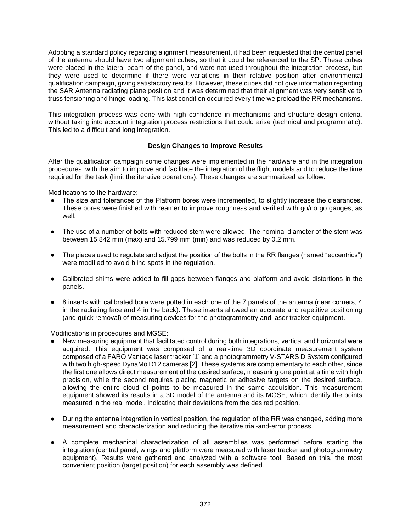Adopting a standard policy regarding alignment measurement, it had been requested that the central panel of the antenna should have two alignment cubes, so that it could be referenced to the SP. These cubes were placed in the lateral beam of the panel, and were not used throughout the integration process, but they were used to determine if there were variations in their relative position after environmental qualification campaign, giving satisfactory results. However, these cubes did not give information regarding the SAR Antenna radiating plane position and it was determined that their alignment was very sensitive to truss tensioning and hinge loading. This last condition occurred every time we preload the RR mechanisms.

This integration process was done with high confidence in mechanisms and structure design criteria, without taking into account integration process restrictions that could arise (technical and programmatic). This led to a difficult and long integration.

# **Design Changes to Improve Results**

After the qualification campaign some changes were implemented in the hardware and in the integration procedures, with the aim to improve and facilitate the integration of the flight models and to reduce the time required for the task (limit the iterative operations). These changes are summarized as follow:

### Modifications to the hardware:

- The size and tolerances of the Platform bores were incremented, to slightly increase the clearances. These bores were finished with reamer to improve roughness and verified with go/no go gauges, as well.
- The use of a number of bolts with reduced stem were allowed. The nominal diameter of the stem was between 15.842 mm (max) and 15.799 mm (min) and was reduced by 0.2 mm.
- The pieces used to regulate and adjust the position of the bolts in the RR flanges (named "eccentrics") were modified to avoid blind spots in the regulation.
- Calibrated shims were added to fill gaps between flanges and platform and avoid distortions in the panels.
- 8 inserts with calibrated bore were potted in each one of the 7 panels of the antenna (near corners, 4 in the radiating face and 4 in the back). These inserts allowed an accurate and repetitive positioning (and quick removal) of measuring devices for the photogrammetry and laser tracker equipment.

Modifications in procedures and MGSE:

- New measuring equipment that facilitated control during both integrations, vertical and horizontal were acquired. This equipment was composed of a real-time 3D coordinate measurement system composed of a FARO Vantage laser tracker [1] and a photogrammetry V-STARS D System configured with two high-speed DynaMo D12 cameras [2]. These systems are complementary to each other, since the first one allows direct measurement of the desired surface, measuring one point at a time with high precision, while the second requires placing magnetic or adhesive targets on the desired surface, allowing the entire cloud of points to be measured in the same acquisition. This measurement equipment showed its results in a 3D model of the antenna and its MGSE, which identify the points measured in the real model, indicating their deviations from the desired position.
- During the antenna integration in vertical position, the regulation of the RR was changed, adding more measurement and characterization and reducing the iterative trial-and-error process.
- A complete mechanical characterization of all assemblies was performed before starting the integration (central panel, wings and platform were measured with laser tracker and photogrammetry equipment). Results were gathered and analyzed with a software tool. Based on this, the most convenient position (target position) for each assembly was defined.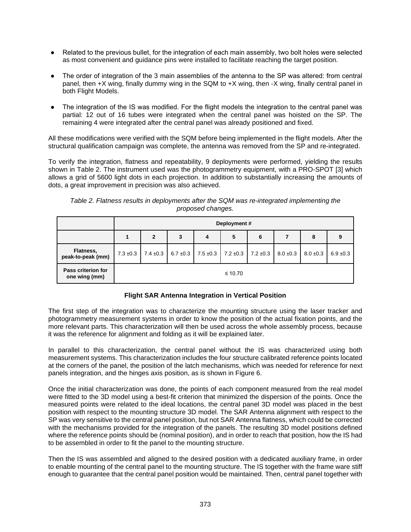- Related to the previous bullet, for the integration of each main assembly, two bolt holes were selected as most convenient and guidance pins were installed to facilitate reaching the target position.
- The order of integration of the 3 main assemblies of the antenna to the SP was altered: from central panel, then +X wing, finally dummy wing in the SQM to +X wing, then -X wing, finally central panel in both Flight Models.
- The integration of the IS was modified. For the flight models the integration to the central panel was partial: 12 out of 16 tubes were integrated when the central panel was hoisted on the SP. The remaining 4 were integrated after the central panel was already positioned and fixed.

All these modifications were verified with the SQM before being implemented in the flight models. After the structural qualification campaign was complete, the antenna was removed from the SP and re-integrated.

To verify the integration, flatness and repeatability, 9 deployments were performed, yielding the results shown in Table 2. The instrument used was the photogrammetry equipment, with a PRO-SPOT [3] which allows a grid of 5600 light dots in each projection. In addition to substantially increasing the amounts of dots, a great improvement in precision was also achieved.

| Table 2. Flatness results in deployments after the SQM was re-integrated implementing the |
|-------------------------------------------------------------------------------------------|
| proposed changes.                                                                         |

|                                     | Deployment#   |               |               |               |               |               |               |               |               |
|-------------------------------------|---------------|---------------|---------------|---------------|---------------|---------------|---------------|---------------|---------------|
|                                     |               | $\mathbf{2}$  | 3             | 4             | 5             | 6             |               | 8             |               |
| Flatness,<br>peak-to-peak (mm)      | $7.3 \pm 0.3$ | $7.4 \pm 0.3$ | 6.7 $\pm$ 0.3 | $7.5 \pm 0.3$ | $7.2 \pm 0.3$ | $7.2 \pm 0.3$ | $8.0 \pm 0.3$ | $8.0 \pm 0.3$ | $6.9 \pm 0.3$ |
| Pass criterion for<br>one wing (mm) |               |               |               |               | $\leq 10.70$  |               |               |               |               |

# **Flight SAR Antenna Integration in Vertical Position**

The first step of the integration was to characterize the mounting structure using the laser tracker and photogrammetry measurement systems in order to know the position of the actual fixation points, and the more relevant parts. This characterization will then be used across the whole assembly process, because it was the reference for alignment and folding as it will be explained later.

In parallel to this characterization, the central panel without the IS was characterized using both measurement systems. This characterization includes the four structure calibrated reference points located at the corners of the panel, the position of the latch mechanisms, which was needed for reference for next panels integration, and the hinges axis position, as is shown in Figure 6.

Once the initial characterization was done, the points of each component measured from the real model were fitted to the 3D model using a best-fit criterion that minimized the dispersion of the points. Once the measured points were related to the ideal locations, the central panel 3D model was placed in the best position with respect to the mounting structure 3D model. The SAR Antenna alignment with respect to the SP was very sensitive to the central panel position, but not SAR Antenna flatness, which could be corrected with the mechanisms provided for the integration of the panels. The resulting 3D model positions defined where the reference points should be (nominal position), and in order to reach that position, how the IS had to be assembled in order to fit the panel to the mounting structure.

Then the IS was assembled and aligned to the desired position with a dedicated auxiliary frame, in order to enable mounting of the central panel to the mounting structure. The IS together with the frame ware stiff enough to guarantee that the central panel position would be maintained. Then, central panel together with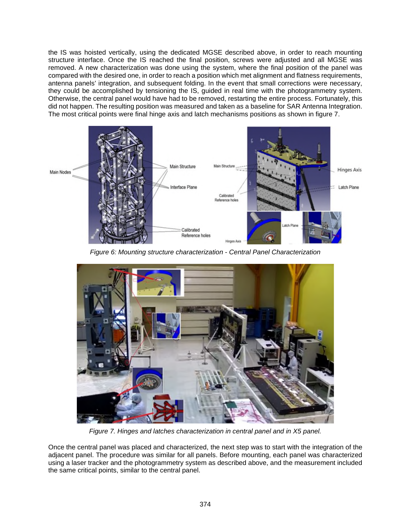the IS was hoisted vertically, using the dedicated MGSE described above, in order to reach mounting structure interface. Once the IS reached the final position, screws were adjusted and all MGSE was removed. A new characterization was done using the system, where the final position of the panel was compared with the desired one, in order to reach a position which met alignment and flatness requirements, antenna panels' integration, and subsequent folding. In the event that small corrections were necessary, they could be accomplished by tensioning the IS, guided in real time with the photogrammetry system. Otherwise, the central panel would have had to be removed, restarting the entire process. Fortunately, this did not happen. The resulting position was measured and taken as a baseline for SAR Antenna Integration. The most critical points were final hinge axis and latch mechanisms positions as shown in figure 7.



*Figure 6: Mounting structure characterization - Central Panel Characterization* 



*Figure 7. Hinges and latches characterization in central panel and in X5 panel.* 

Once the central panel was placed and characterized, the next step was to start with the integration of the adjacent panel. The procedure was similar for all panels. Before mounting, each panel was characterized using a laser tracker and the photogrammetry system as described above, and the measurement included the same critical points, similar to the central panel.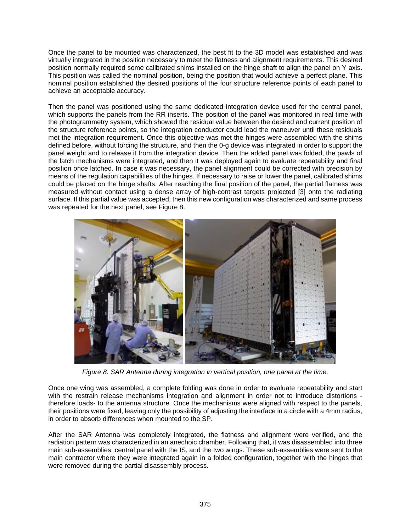Once the panel to be mounted was characterized, the best fit to the 3D model was established and was virtually integrated in the position necessary to meet the flatness and alignment requirements. This desired position normally required some calibrated shims installed on the hinge shaft to align the panel on Y axis. This position was called the nominal position, being the position that would achieve a perfect plane. This nominal position established the desired positions of the four structure reference points of each panel to achieve an acceptable accuracy.

Then the panel was positioned using the same dedicated integration device used for the central panel, which supports the panels from the RR inserts. The position of the panel was monitored in real time with the photogrammetry system, which showed the residual value between the desired and current position of the structure reference points, so the integration conductor could lead the maneuver until these residuals met the integration requirement. Once this objective was met the hinges were assembled with the shims defined before, without forcing the structure, and then the 0-g device was integrated in order to support the panel weight and to release it from the integration device. Then the added panel was folded, the pawls of the latch mechanisms were integrated, and then it was deployed again to evaluate repeatability and final position once latched. In case it was necessary, the panel alignment could be corrected with precision by means of the regulation capabilities of the hinges. If necessary to raise or lower the panel, calibrated shims could be placed on the hinge shafts. After reaching the final position of the panel, the partial flatness was measured without contact using a dense array of high-contrast targets projected [3] onto the radiating surface. If this partial value was accepted, then this new configuration was characterized and same process was repeated for the next panel, see Figure 8.



*Figure 8. SAR Antenna during integration in vertical position, one panel at the time.* 

Once one wing was assembled, a complete folding was done in order to evaluate repeatability and start with the restrain release mechanisms integration and alignment in order not to introduce distortions therefore loads- to the antenna structure. Once the mechanisms were aligned with respect to the panels, their positions were fixed, leaving only the possibility of adjusting the interface in a circle with a 4mm radius, in order to absorb differences when mounted to the SP.

After the SAR Antenna was completely integrated, the flatness and alignment were verified, and the radiation pattern was characterized in an anechoic chamber. Following that, it was disassembled into three main sub-assemblies: central panel with the IS, and the two wings. These sub-assemblies were sent to the main contractor where they were integrated again in a folded configuration, together with the hinges that were removed during the partial disassembly process.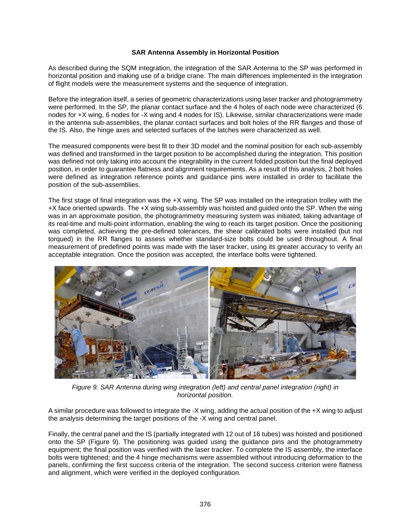## **SAR Antenna Assembly in Horizontal Position**

As described during the SQM integration, the integration of the SAR Antenna to the SP was performed in horizontal position and making use of a bridge crane. The main differences implemented in the integration of flight models were the measurement systems and the sequence of integration.

Before the integration itself, a series of geometric characterizations using laser tracker and photogrammetry were performed. In the SP, the planar contact surface and the 4 holes of each node were characterized (6 nodes for +X wing, 6 nodes for -X wing and 4 nodes for IS). Likewise, similar characterizations were made in the antenna sub-assemblies, the planar contact surfaces and bolt holes of the RR flanges and those of the IS. Also, the hinge axes and selected surfaces of the latches were characterized as well.

The measured components were best fit to their 3D model and the nominal position for each sub-assembly was defined and transformed in the target position to be accomplished during the integration. This position was defined not only taking into account the integrability in the current folded position but the final deployed position, in order to guarantee flatness and alignment requirements. As a result of this analysis, 2 bolt holes were defined as integration reference points and guidance pins were installed in order to facilitate the position of the sub-assemblies.

The first stage of final integration was the +X wing. The SP was installed on the integration trolley with the +X face oriented upwards. The +X wing sub-assembly was hoisted and guided onto the SP. When the wing was in an approximate position, the photogrammetry measuring system was initiated, taking advantage of its real-time and multi-point information, enabling the wing to reach its target position. Once the positioning was completed, achieving the pre-defined tolerances, the shear calibrated bolts were installed (but not torqued) in the RR flanges to assess whether standard-size bolts could be used throughout. A final measurement of predefined points was made with the laser tracker, using its greater accuracy to verify an acceptable integration. Once the position was accepted, the interface bolts were tightened.

![](_page_11_Picture_5.jpeg)

*Figure 9. SAR Antenna during wing integration (left) and central panel integration (right) in horizontal position.* 

A similar procedure was followed to integrate the -X wing, adding the actual position of the +X wing to adjust the analysis determining the target positions of the -X wing and central panel.

Finally, the central panel and the IS (partially integrated with 12 out of 16 tubes) was hoisted and positioned onto the SP (Figure 9). The positioning was guided using the guidance pins and the photogrammetry equipment; the final position was verified with the laser tracker. To complete the IS assembly, the interface bolts were tightened; and the 4 hinge mechanisms were assembled without introducing deformation to the panels, confirming the first success criteria of the integration. The second success criterion were flatness and alignment, which were verified in the deployed configuration.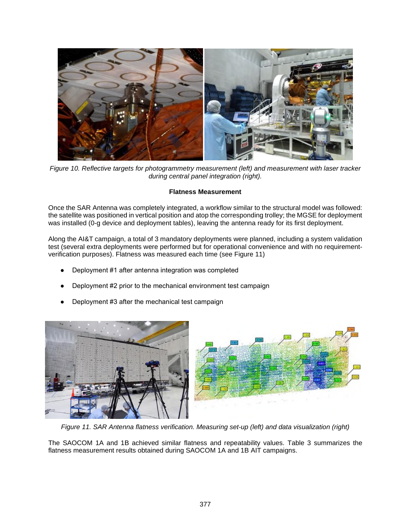![](_page_12_Picture_0.jpeg)

*Figure 10. Reflective targets for photogrammetry measurement (left) and measurement with laser tracker during central panel integration (right).* 

# **Flatness Measurement**

Once the SAR Antenna was completely integrated, a workflow similar to the structural model was followed: the satellite was positioned in vertical position and atop the corresponding trolley; the MGSE for deployment was installed (0-g device and deployment tables), leaving the antenna ready for its first deployment.

Along the AI&T campaign, a total of 3 mandatory deployments were planned, including a system validation test (several extra deployments were performed but for operational convenience and with no requirementverification purposes). Flatness was measured each time (see Figure 11)

- Deployment #1 after antenna integration was completed
- Deployment #2 prior to the mechanical environment test campaign
- Deployment #3 after the mechanical test campaign

![](_page_12_Picture_8.jpeg)

*Figure 11. SAR Antenna flatness verification. Measuring set-up (left) and data visualization (right)* 

The SAOCOM 1A and 1B achieved similar flatness and repeatability values. Table 3 summarizes the flatness measurement results obtained during SAOCOM 1A and 1B AIT campaigns.